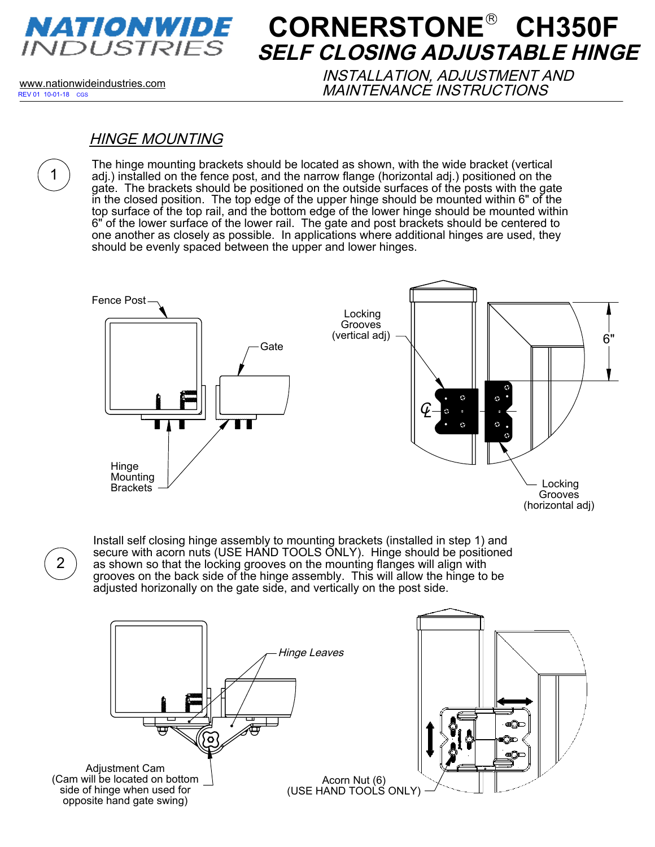

# **CORNERSTONE<sup>®</sup> CH350F SELF CLOSING ADJUSTABLE HINGE**

REV 01 10-01-18 CGS

1

www.nationwideindustries.com INSTALLATION, ADJUSTMENT AND MAINTENANCE INSTRUCTIONS

#### HINGE MOUNTING

The hinge mounting brackets should be located as shown, with the wide bracket (vertical adj.) installed on the fence post, and the narrow flange (horizontal adj.) positioned on the gate. The brackets should be positioned on the outside surfaces of the posts with the gate in the closed position. The top edge of the upper hinge should be mounted within 6" of the top surface of the top rail, and the bottom edge of the lower hinge should be mounted within 6" of the lower surface of the lower rail. The gate and post brackets should be centered to one another as closely as possible. In applications where additional hinges are used, they should be evenly spaced between the upper and lower hinges.



2

Install self closing hinge assembly to mounting brackets (installed in step 1) and secure with acorn nuts (USE HAND TOOLS ONLY). Hinge should be positioned as shown so that the locking grooves on the mounting flanges will align with grooves on the back side of the hinge assembly. This will allow the hinge to be adjusted horizonally on the gate side, and vertically on the post side.